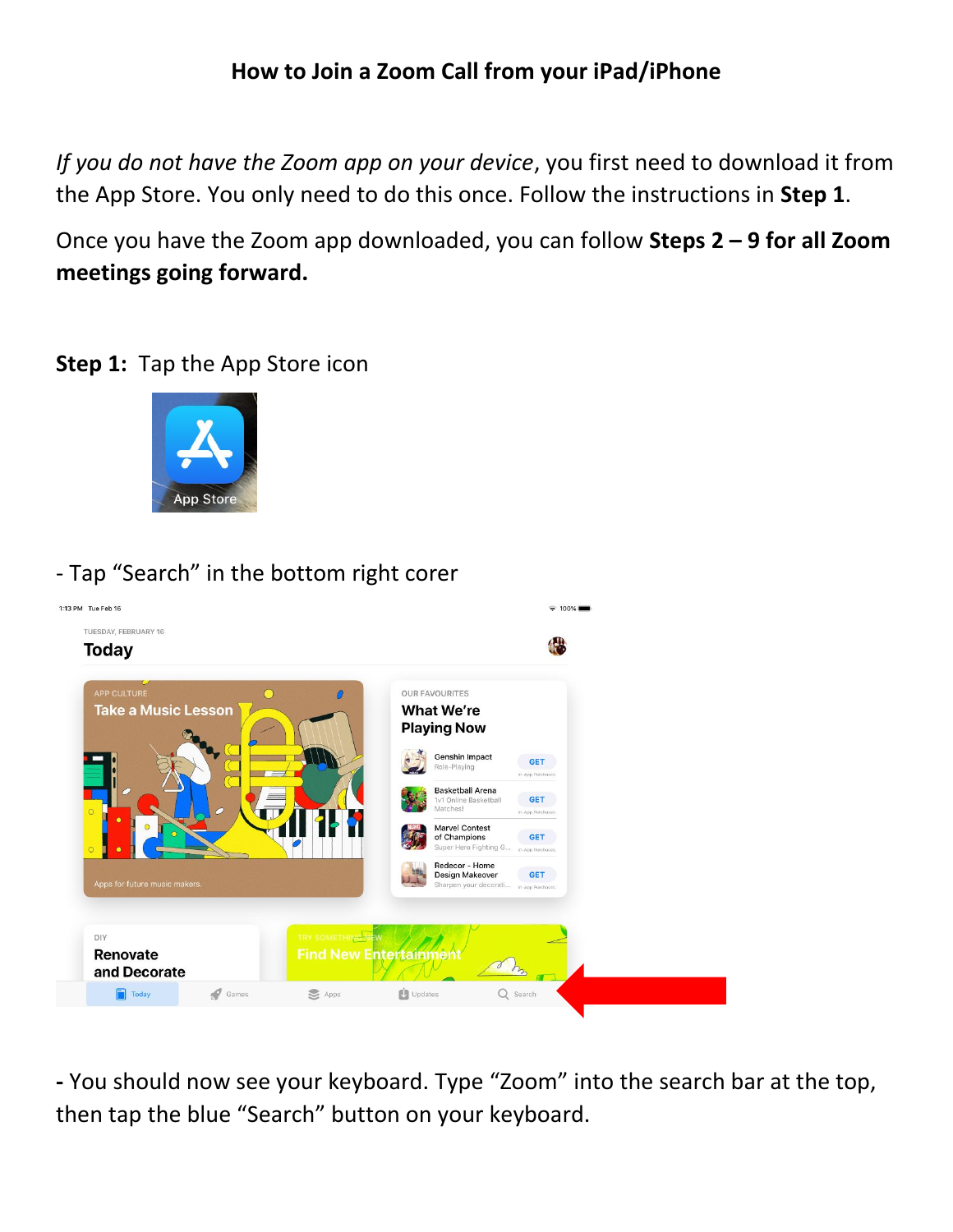### **How to Join a Zoom Call from your iPad/iPhone**

*If you do not have the Zoom app on your device*, you first need to download it from the App Store. You only need to do this once. Follow the instructions in **Step 1**.

Once you have the Zoom app downloaded, you can follow **Steps 2 – 9 for all Zoom meetings going forward.**

#### **Step 1:** Tap the App Store icon



### - Tap "Search" in the bottom right corer



**-** You should now see your keyboard. Type "Zoom" into the search bar at the top, then tap the blue "Search" button on your keyboard.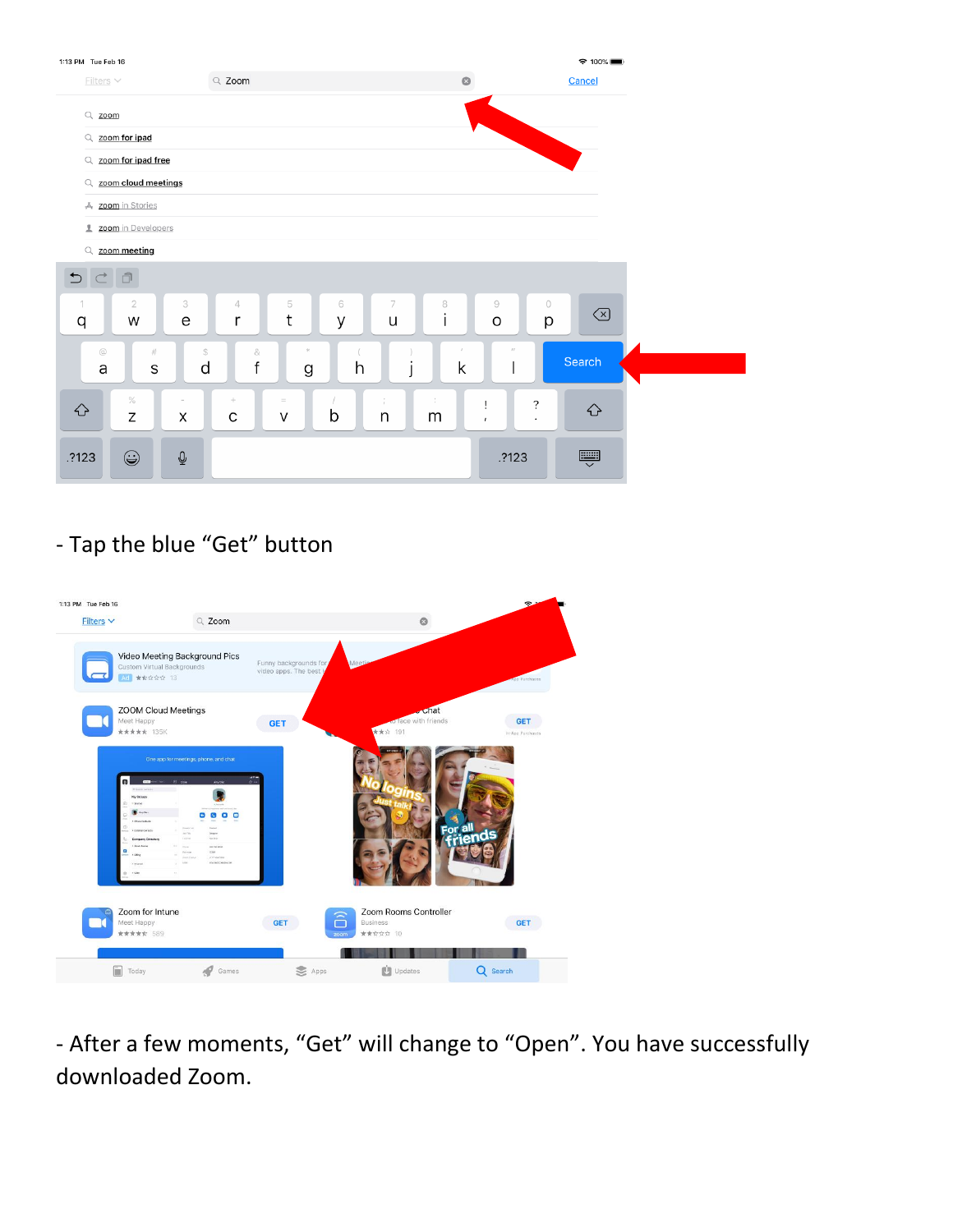

# - Tap the blue "Get" button



- After a few moments, "Get" will change to "Open". You have successfully downloaded Zoom.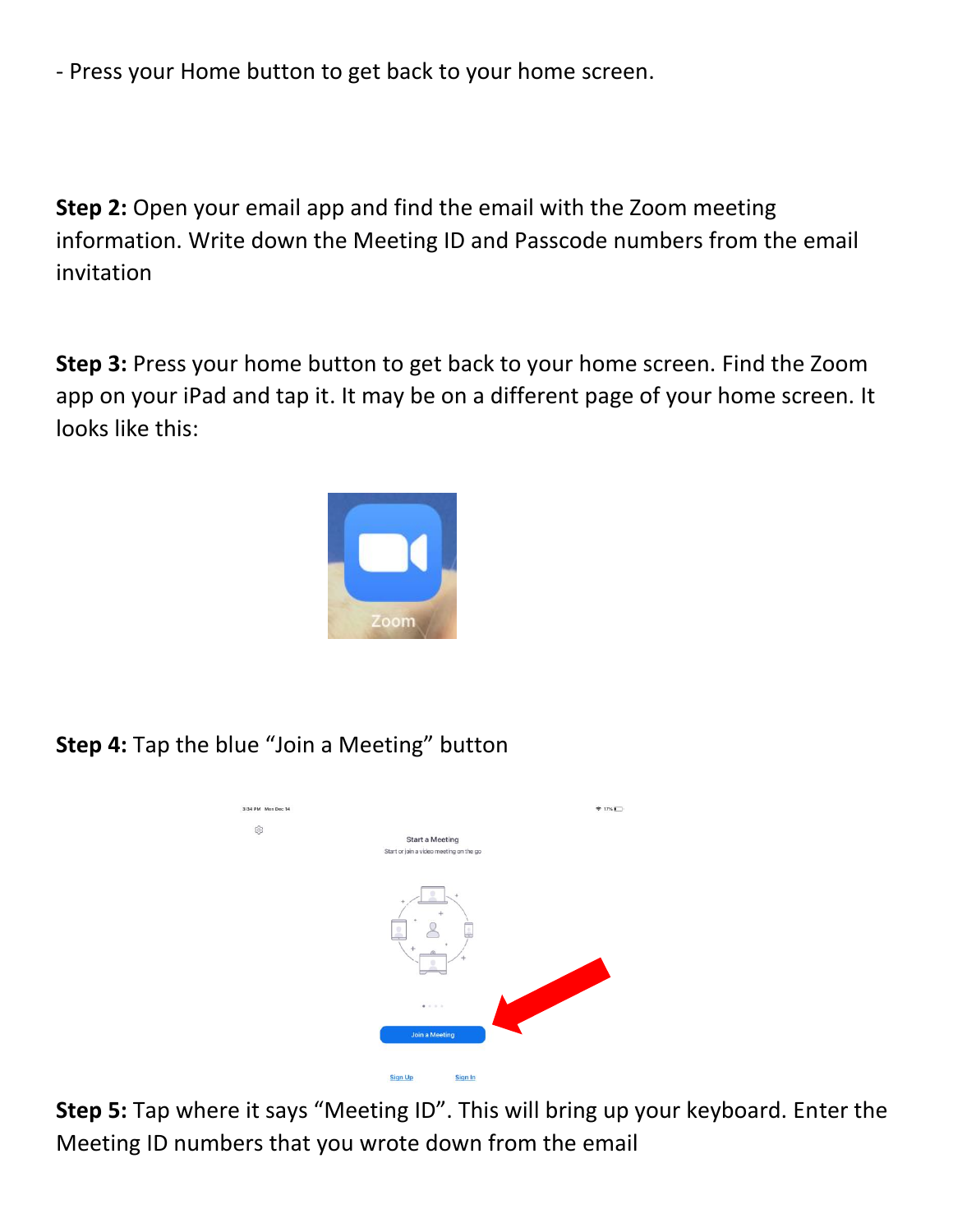- Press your Home button to get back to your home screen.

**Step 2:** Open your email app and find the email with the Zoom meeting information. Write down the Meeting ID and Passcode numbers from the email invitation

**Step 3:** Press your home button to get back to your home screen. Find the Zoom app on your iPad and tap it. It may be on a different page of your home screen. It looks like this:



**Step 4:** Tap the blue "Join a Meeting" button



**Step 5:** Tap where it says "Meeting ID". This will bring up your keyboard. Enter the Meeting ID numbers that you wrote down from the email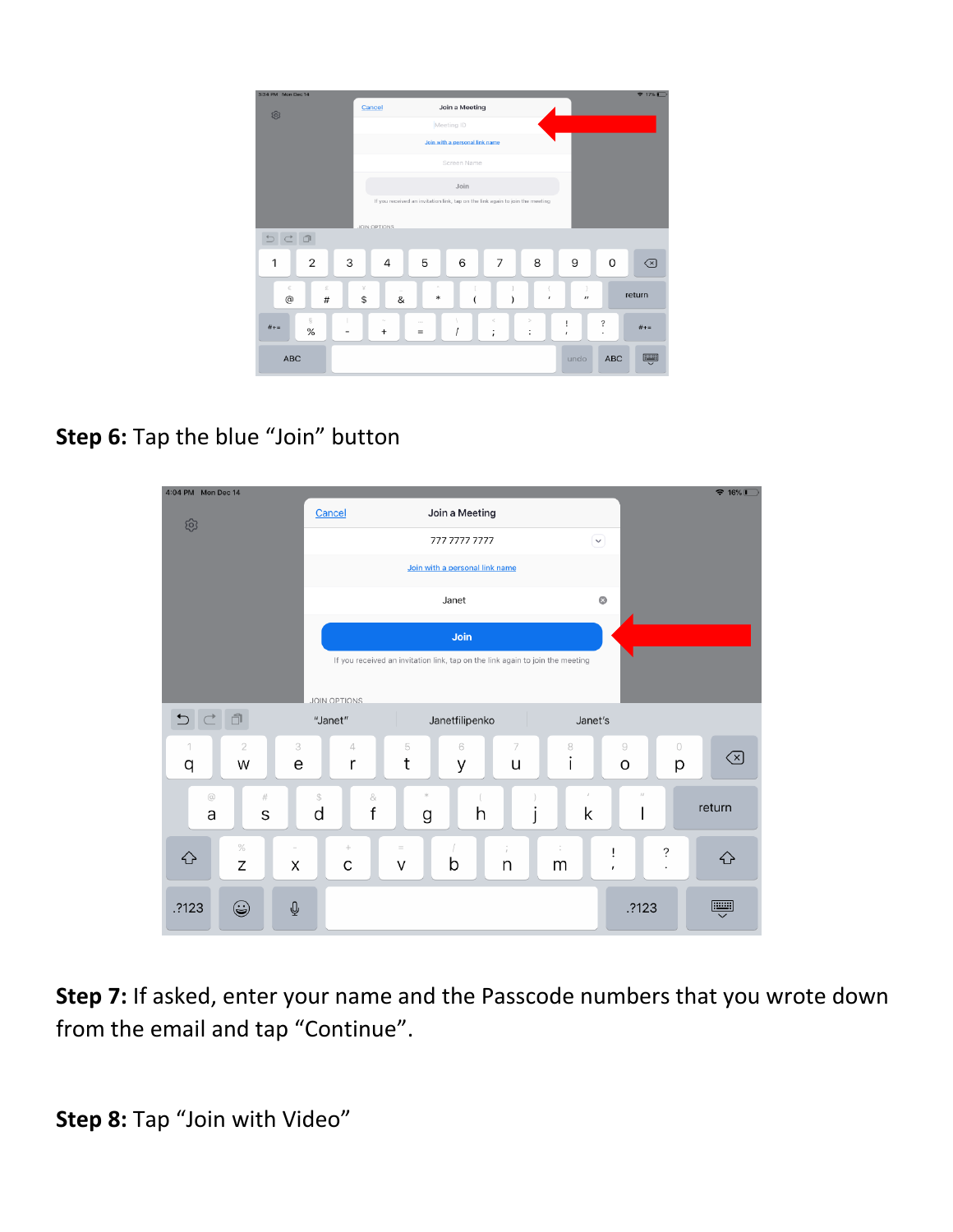| 3:34 PM Mon Dec 14           |                                                                               |                                    |                                    |                              | 917%            |
|------------------------------|-------------------------------------------------------------------------------|------------------------------------|------------------------------------|------------------------------|-----------------|
| ශ                            | Cancel                                                                        | Join a Meeting                     |                                    |                              |                 |
|                              | Meeting ID                                                                    |                                    |                                    |                              |                 |
|                              | Join with a personal link name                                                |                                    |                                    |                              |                 |
|                              |                                                                               | Screen Name                        |                                    |                              |                 |
|                              | Join                                                                          |                                    |                                    |                              |                 |
|                              | If you received an invitation link, tap on the link again to join the meeting |                                    |                                    |                              |                 |
|                              | <b>JOIN OPTIONS</b>                                                           |                                    |                                    |                              |                 |
| 己日                           |                                                                               |                                    |                                    |                              |                 |
| 3<br>$\overline{2}$<br>1     | 4                                                                             | 6<br>5                             | 8<br>7                             | 9                            | $\Omega$<br> ⊗  |
| €<br>£<br>$^\copyright$<br># | ¥<br>&<br>\$                                                                  | $\mathcal{J}_\lambda$<br>*         | ,                                  | $^{\prime\prime}$            | return          |
| ŝ<br>$# + =$<br>$\%$         | $\sim$<br>$\ddot{}$                                                           | $\alpha \rightarrow \alpha$<br>$=$ | $\,<$<br>$\,>$<br>٠<br>٠<br>٠<br>٠ | ?<br>ï<br>$\pmb{\cdot}$<br>٠ | $# + =$         |
| <b>ABC</b>                   |                                                                               |                                    |                                    | undo                         | p<br><b>ABC</b> |

## **Step 6:** Tap the blue "Join" button



**Step 7:** If asked, enter your name and the Passcode numbers that you wrote down from the email and tap "Continue".

**Step 8:** Tap "Join with Video"